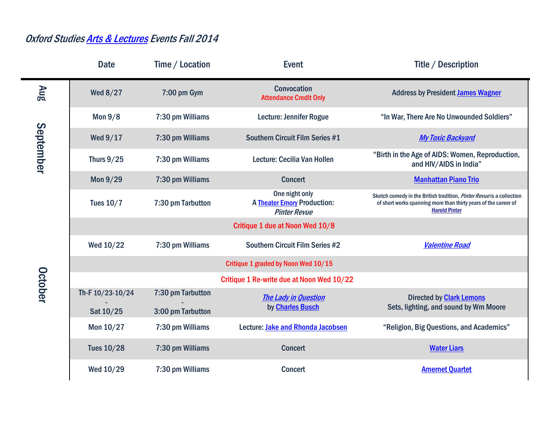## Oxford Studie[s Arts & Lectures](http://oxford.emory.edu/operations/events-conferences/artisticlyceum-events/) Events Fall 2014

|                                           | <b>Date</b>       | Time / Location   | <b>Event</b>                                                                | <b>Title / Description</b>                                                                                                                                      |
|-------------------------------------------|-------------------|-------------------|-----------------------------------------------------------------------------|-----------------------------------------------------------------------------------------------------------------------------------------------------------------|
| <b>Aug</b><br>September<br><b>October</b> | Wed 8/27          | 7:00 pm Gym       | <b>Convocation</b><br><b>Attendance Credit Only</b>                         | <b>Address by President James Wagner</b>                                                                                                                        |
|                                           | <b>Mon 9/8</b>    | 7:30 pm Williams  | Lecture: Jennifer Rogue                                                     | "In War, There Are No Unwounded Soldiers"                                                                                                                       |
|                                           | Wed 9/17          | 7:30 pm Williams  | Southern Circuit Film Series #1                                             | <b>My Toxic Backyard</b>                                                                                                                                        |
|                                           | <b>Thurs 9/25</b> | 7:30 pm Williams  | Lecture: Cecilia Van Hollen                                                 | "Birth in the Age of AIDS: Women, Reproduction,<br>and HIV/AIDS in India"                                                                                       |
|                                           | Mon 9/29          | 7:30 pm Williams  | <b>Concert</b>                                                              | <b>Manhattan Piano Trio</b>                                                                                                                                     |
|                                           | <b>Tues 10/7</b>  | 7:30 pm Tarbutton | One night only<br><b>A Theater Emory Production:</b><br><b>Pinter Revue</b> | Sketch comedy in the British tradition, Pinter Revue is a collection<br>of short works spanning more than thirty years of the career of<br><b>Harold Pinter</b> |
|                                           |                   |                   | Critique 1 due at Noon Wed 10/8                                             |                                                                                                                                                                 |
|                                           | Wed 10/22         | 7:30 pm Williams  | <b>Southern Circuit Film Series #2</b>                                      | <b>Valentine Road</b>                                                                                                                                           |
|                                           |                   |                   | Critique 1 graded by Noon Wed 10/15                                         |                                                                                                                                                                 |
|                                           |                   |                   | Critique 1 Re-write due at Noon Wed 10/22                                   |                                                                                                                                                                 |
|                                           | Th-F 10/23-10/24  | 7:30 pm Tarbutton | <b>The Lady in Question</b><br>by <b>Charles Busch</b>                      | <b>Directed by Clark Lemons</b><br>Sets, lighting, and sound by Wm Moore                                                                                        |
|                                           | Sat 10/25         | 3:00 pm Tarbutton |                                                                             |                                                                                                                                                                 |
|                                           | Mon 10/27         | 7:30 pm Williams  | Lecture: Jake and Rhonda Jacobsen                                           | "Religion, Big Questions, and Academics"                                                                                                                        |
|                                           | <b>Tues 10/28</b> | 7:30 pm Williams  | <b>Concert</b>                                                              | <b>Water Liars</b>                                                                                                                                              |
|                                           | Wed 10/29         | 7:30 pm Williams  | <b>Concert</b>                                                              | <b>Amernet Quartet</b>                                                                                                                                          |